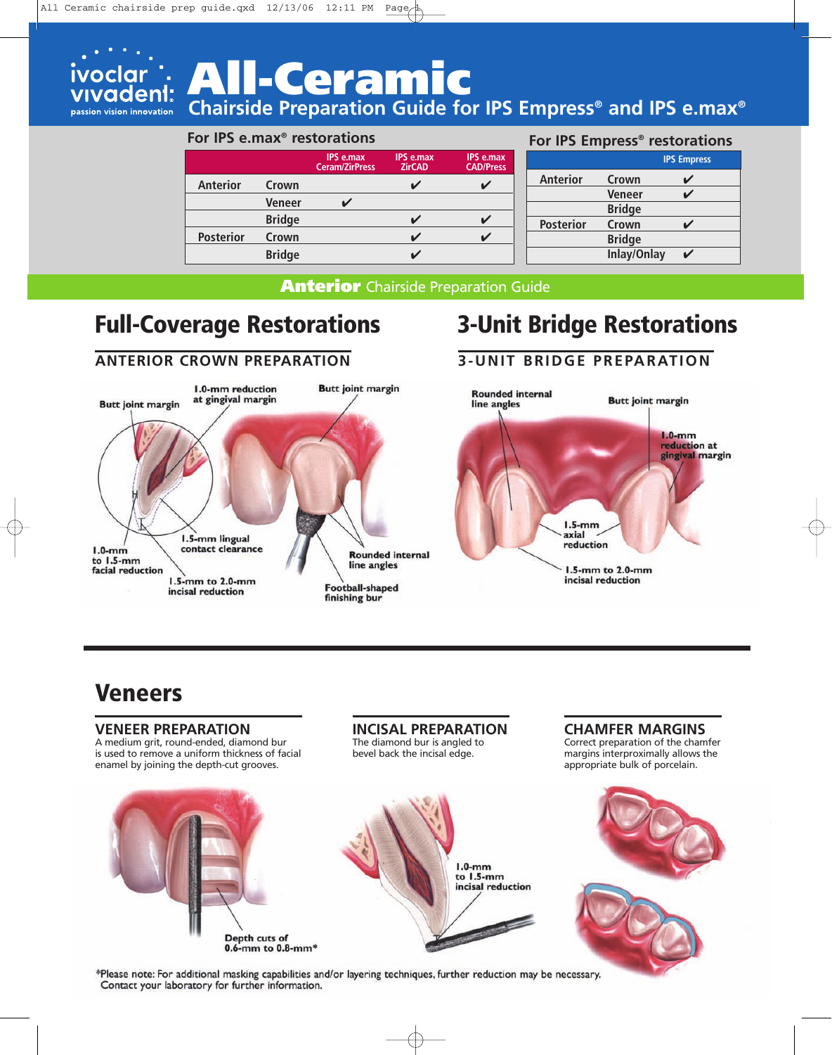

# **All-Ceramic**

**Chairside Preparation Guide for IPS Empress® and IPS e.max®**

#### **For IPS e.max® restorations**

|                  |               | <b>IPS e.max</b><br><b>Ceram/ZirPress</b> | <b>IPS e.max</b><br><b>ZirCAD</b> | <b>IPS e.max</b><br><b>CAD/Press</b> |
|------------------|---------------|-------------------------------------------|-----------------------------------|--------------------------------------|
| <b>Anterior</b>  | Crown         |                                           |                                   |                                      |
|                  | <b>Veneer</b> |                                           |                                   |                                      |
|                  | <b>Bridge</b> |                                           |                                   |                                      |
| <b>Posterior</b> | Crown         |                                           |                                   |                                      |
|                  | <b>Bridge</b> |                                           |                                   |                                      |

#### **For IPS Empress® restorations**

|                  |                    | <b>IPS Empress</b> |
|------------------|--------------------|--------------------|
| <b>Anterior</b>  | Crown              |                    |
|                  | Veneer             |                    |
|                  | <b>Bridge</b>      |                    |
| <b>Posterior</b> | Crown              |                    |
|                  | <b>Bridge</b>      |                    |
|                  | <b>Inlay/Onlay</b> |                    |

**Anterior** Chairside Preparation Guide

### **Full-Coverage Restorations 3-Unit Bridge Restorations**

**ANTERIOR CROWN PREPARATION**

#### 1.0-mm reduction **Butt joint margin** at gingival margin **Butt joint margin** 1.5-mm lingual contact clearance  $1.0$ -mm **Rounded internal** to 1.5-mm line angles facial reduction 1.5-mm to 2.0-mm **Football-shaped** incisal reduction finishing bur

**3-UNIT BRIDGE PREPARATION**



**CHAMFER MARGINS** Correct preparation of the chamfer margins interproximally allows the

### **Veneers**

#### **VENEER PREPARATION**

A medium grit, round-ended, diamond bur is used to remove a uniform thickness of facial enamel by joining the depth-cut grooves.

### **INCISAL PREPARATION**

The diamond bur is angled to bevel back the incisal edge.



\*Please note: For additional masking capabilities and/or layering techniques, further reduction may be necessary. Contact your laboratory for further information.